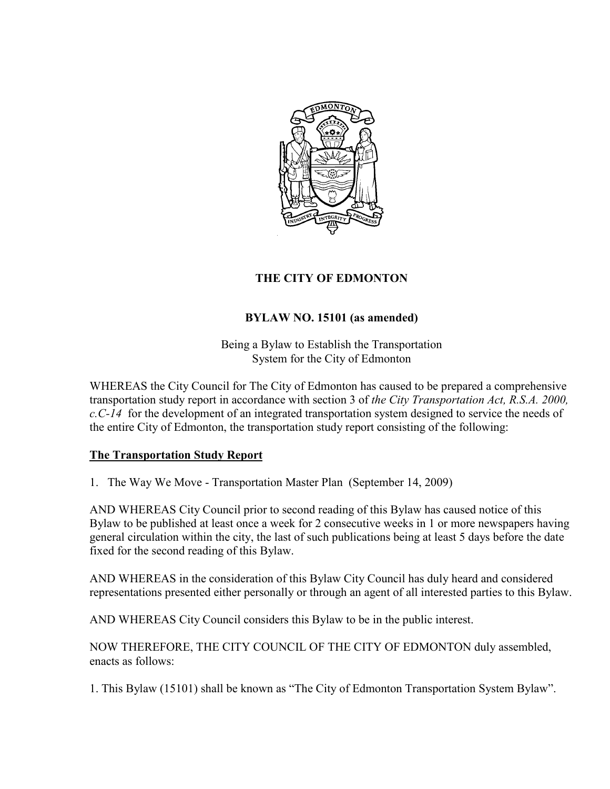

## **THE CITY OF EDMONTON**

## **BYLAW NO. 15101 (as amended)**

Being a Bylaw to Establish the Transportation System for the City of Edmonton

WHEREAS the City Council for The City of Edmonton has caused to be prepared a comprehensive transportation study report in accordance with section 3 of *the City Transportation Act, R.S.A. 2000, c.C-14* for the development of an integrated transportation system designed to service the needs of the entire City of Edmonton, the transportation study report consisting of the following:

## **The Transportation Study Report**

1. The Way We Move - Transportation Master Plan (September 14, 2009)

AND WHEREAS City Council prior to second reading of this Bylaw has caused notice of this Bylaw to be published at least once a week for 2 consecutive weeks in 1 or more newspapers having general circulation within the city, the last of such publications being at least 5 days before the date fixed for the second reading of this Bylaw.

AND WHEREAS in the consideration of this Bylaw City Council has duly heard and considered representations presented either personally or through an agent of all interested parties to this Bylaw.

AND WHEREAS City Council considers this Bylaw to be in the public interest.

NOW THEREFORE, THE CITY COUNCIL OF THE CITY OF EDMONTON duly assembled, enacts as follows:

1. This Bylaw (15101) shall be known as "The City of Edmonton Transportation System Bylaw".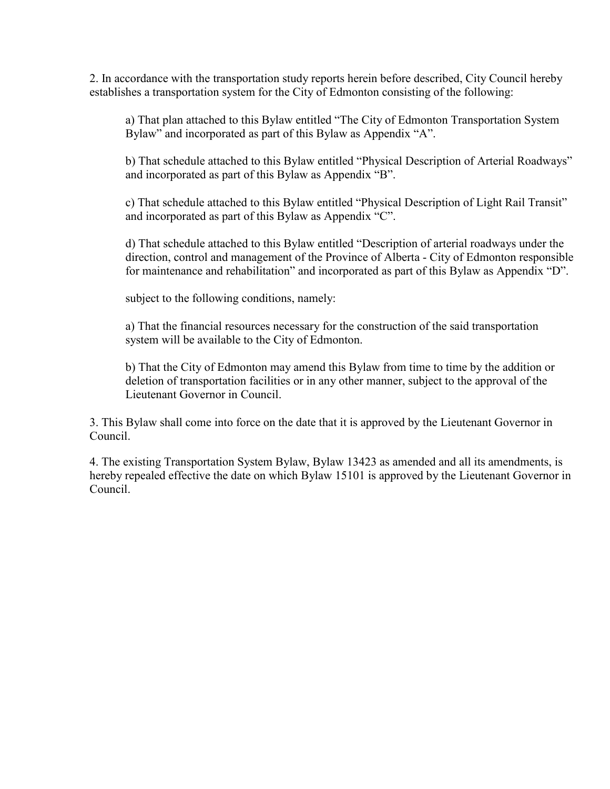2. In accordance with the transportation study reports herein before described, City Council hereby establishes a transportation system for the City of Edmonton consisting of the following:

a) That plan attached to this Bylaw entitled "The City of Edmonton Transportation System Bylaw" and incorporated as part of this Bylaw as Appendix "A".

b) That schedule attached to this Bylaw entitled "Physical Description of Arterial Roadways" and incorporated as part of this Bylaw as Appendix "B".

c) That schedule attached to this Bylaw entitled "Physical Description of Light Rail Transit" and incorporated as part of this Bylaw as Appendix "C".

d) That schedule attached to this Bylaw entitled "Description of arterial roadways under the direction, control and management of the Province of Alberta - City of Edmonton responsible for maintenance and rehabilitation" and incorporated as part of this Bylaw as Appendix "D".

subject to the following conditions, namely:

a) That the financial resources necessary for the construction of the said transportation system will be available to the City of Edmonton.

b) That the City of Edmonton may amend this Bylaw from time to time by the addition or deletion of transportation facilities or in any other manner, subject to the approval of the Lieutenant Governor in Council.

3. This Bylaw shall come into force on the date that it is approved by the Lieutenant Governor in Council.

4. The existing Transportation System Bylaw, Bylaw 13423 as amended and all its amendments, is hereby repealed effective the date on which Bylaw 15101 is approved by the Lieutenant Governor in Council.